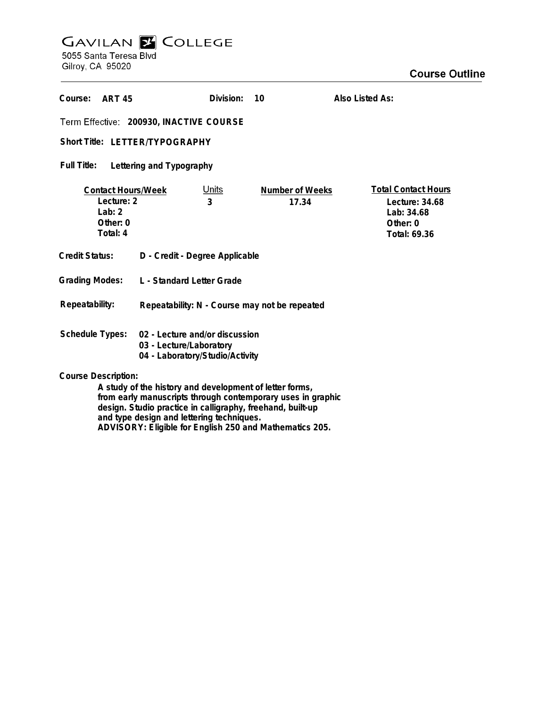# **GAVILAN E COLLEGE**<br>5055 Santa Teresa Blvd

Gilroy, CA 95020

| Course:<br><b>ART 45</b>                                                                                                                             |                                                                                              | Division:         | 10                       | Also Listed As:                                                                          |
|------------------------------------------------------------------------------------------------------------------------------------------------------|----------------------------------------------------------------------------------------------|-------------------|--------------------------|------------------------------------------------------------------------------------------|
| Term Effective: 200930, INACTIVE COURSE                                                                                                              |                                                                                              |                   |                          |                                                                                          |
| Short Title: LETTER/TYPOGRAPHY                                                                                                                       |                                                                                              |                   |                          |                                                                                          |
| <b>Full Title:</b><br>Lettering and Typography                                                                                                       |                                                                                              |                   |                          |                                                                                          |
| <b>Contact Hours/Week</b><br>Lecture: 2<br>Lab: $2$<br>Other: 0<br>Total: 4                                                                          |                                                                                              | <u>Units</u><br>3 | Number of Weeks<br>17.34 | <b>Total Contact Hours</b><br>Lecture: $34.68$<br>Lab: 34.68<br>Other: 0<br>Total: 69.36 |
| <b>Credit Status:</b>                                                                                                                                | D - Credit - Degree Applicable                                                               |                   |                          |                                                                                          |
| <b>Grading Modes:</b>                                                                                                                                | <b>L</b> - Standard Letter Grade                                                             |                   |                          |                                                                                          |
| Repeatability:                                                                                                                                       | Repeatability: N - Course may not be repeated                                                |                   |                          |                                                                                          |
| Schedule Types:                                                                                                                                      | 02 - Lecture and/or discussion<br>03 - Lecture/Laboratory<br>04 - Laboratory/Studio/Activity |                   |                          |                                                                                          |
| <b>Course Description:</b><br>A study of the history and development of letter forms,<br>from early manuscripts through contemporary uses in graphic |                                                                                              |                   |                          |                                                                                          |

**from early manuscripts through contemporary uses in graphic design. Studio practice in calligraphy, freehand, built-up and type design and lettering techniques. ADVISORY: Eligible for English 250 and Mathematics 205.**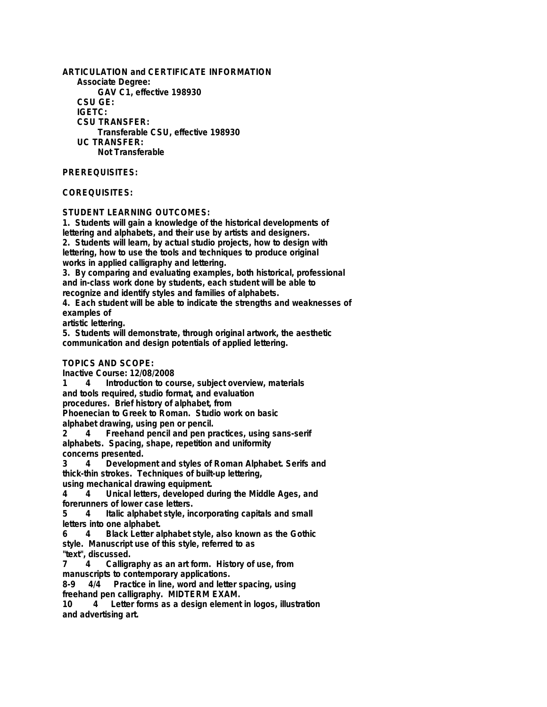**ARTICULATION and CERTIFICATE INFORMATION Associate Degree: GAV C1, effective 198930 CSU GE: IGETC: CSU TRANSFER: Transferable CSU, effective 198930 UC TRANSFER: Not Transferable**

### **PREREQUISITES:**

## **COREQUISITES:**

**STUDENT LEARNING OUTCOMES:**

**1. Students will gain a knowledge of the historical developments of lettering and alphabets, and their use by artists and designers. 2. Students will learn, by actual studio projects, how to design with lettering, how to use the tools and techniques to produce original works in applied calligraphy and lettering.**

**3. By comparing and evaluating examples, both historical, professional and in-class work done by students, each student will be able to recognize and identify styles and families of alphabets.**

**4. Each student will be able to indicate the strengths and weaknesses of examples of**

**artistic lettering.**

**5. Students will demonstrate, through original artwork, the aesthetic communication and design potentials of applied lettering.**

# **TOPICS AND SCOPE:**

**Inactive Course: 12/08/2008**

Introduction to course, subject overview, materials

**and tools required, studio format, and evaluation**

**procedures. Brief history of alphabet, from**

**Phoenecian to Greek to Roman. Studio work on basic**

**alphabet drawing, using pen or pencil.**

**2 4 Freehand pencil and pen practices, using sans-serif alphabets. Spacing, shape, repetition and uniformity concerns presented.**

**3 4 Development and styles of Roman Alphabet. Serifs and thick-thin strokes. Techniques of built-up lettering,**

**using mechanical drawing equipment.**

**4 4 Unical letters, developed during the Middle Ages, and forerunners of lower case letters.**

**5 4 Italic alphabet style, incorporating capitals and small letters into one alphabet.**

**6 4 Black Letter alphabet style, also known as the Gothic style. Manuscript use of this style, referred to as**

**"text", discussed. 7 4 Calligraphy as an art form. History of use, from manuscripts to contemporary applications.**

**8-9 4/4 Practice in line, word and letter spacing, using freehand pen calligraphy. MIDTERM EXAM.**

**10 4 Letter forms as a design element in logos, illustration and advertising art.**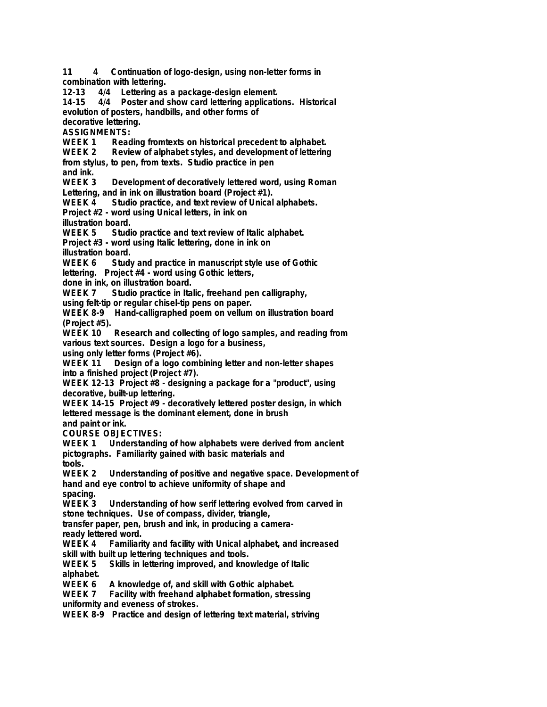**11 4 Continuation of logo-design, using non-letter forms in combination with lettering. 12-13 4/4 Lettering as a package-design element. 14-15 4/4 Poster and show card lettering applications. Historical evolution of posters, handbills, and other forms of decorative lettering. ASSIGNMENTS:** WEEK 1 Reading fromtexts on historical precedent to alphabet.<br>WEEK 2 Review of alphabet styles, and development of lettering Review of alphabet styles, and development of lettering **from stylus, to pen, from texts. Studio practice in pen and ink.** Development of decoratively lettered word, using Roman **Lettering, and in ink on illustration board (Project #1). WEEK 4 Studio practice, and text review of Unical alphabets. Project #2 - word using Unical letters, in ink on illustration board. WEEK 5 Studio practice and text review of Italic alphabet. Project #3 - word using Italic lettering, done in ink on illustration board. WEEK 6 Study and practice in manuscript style use of Gothic lettering. Project #4 - word using Gothic letters, done in ink, on illustration board. WEEK 7 Studio practice in Italic, freehand pen calligraphy, using felt-tip or regular chisel-tip pens on paper. WEEK 8-9 Hand-calligraphed poem on vellum on illustration board (Project #5). WEEK 10 Research and collecting of logo samples, and reading from various text sources. Design a logo for a business, using only letter forms (Project #6).** Design of a logo combining letter and non-letter shapes **into a finished project (Project #7). WEEK 12-13 Project #8 - designing a package for a "product", using decorative, built-up lettering. WEEK 14-15 Project #9 - decoratively lettered poster design, in which lettered message is the dominant element, done in brush and paint or ink. COURSE OBJECTIVES: WEEK 1 Understanding of how alphabets were derived from ancient pictographs. Familiarity gained with basic materials and tools. WEEK 2 Understanding of positive and negative space. Development of hand and eye control to achieve uniformity of shape and spacing. WEEK 3 Understanding of how serif lettering evolved from carved in stone techniques. Use of compass, divider, triangle, transfer paper, pen, brush and ink, in producing a cameraready lettered word. WEEK 4 Familiarity and facility with Unical alphabet, and increased skill with built up lettering techniques and tools.** Skills in lettering improved, and knowledge of Italic **alphabet. WEEK 6 A knowledge of, and skill with Gothic alphabet.** Facility with freehand alphabet formation, stressing **uniformity and eveness of strokes. WEEK 8-9 Practice and design of lettering text material, striving**